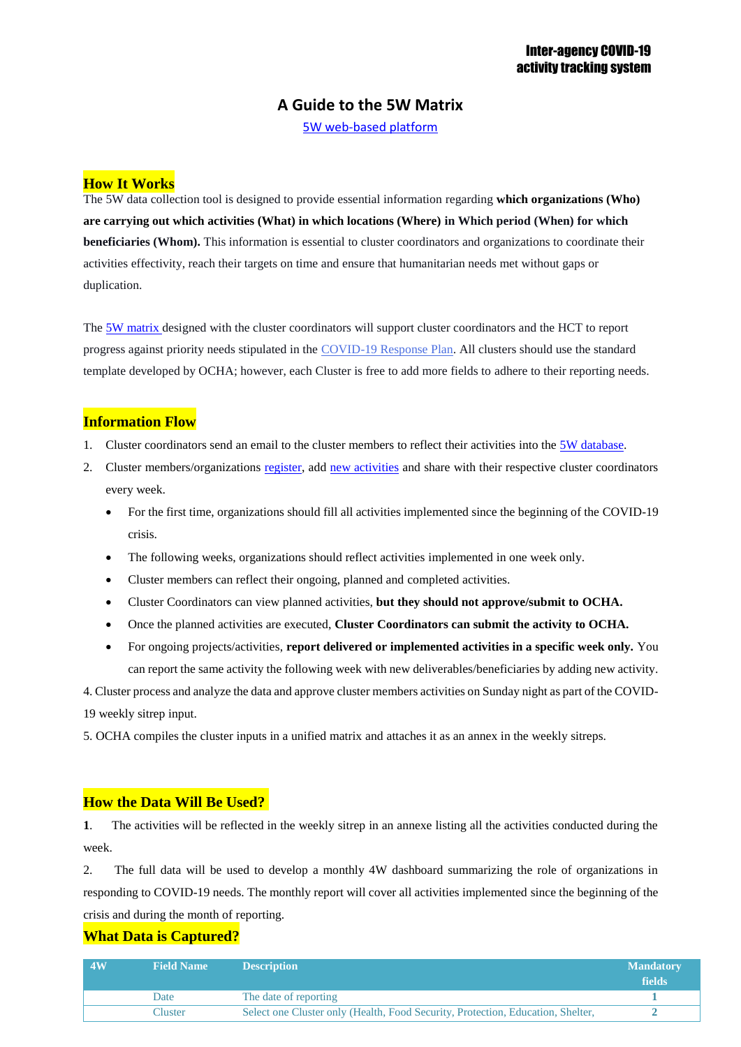# **A Guide to the 5W Matrix**

[5W web-based platform](http://data.ochaopt.org/dbs/5ws/index.aspx)

## **How It Works**

The 5W data collection tool is designed to provide essential information regarding **which organizations (Who) are carrying out which activities (What) in which locations (Where) in Which period (When) for which beneficiaries (Whom).** This information is essential to cluster coordinators and organizations to coordinate their activities effectivity, reach their targets on time and ensure that humanitarian needs met without gaps or duplication.

The [5W matrix](http://data.ochaopt.org/dbs/5ws/index.aspx) designed with the cluster coordinators will support cluster coordinators and the HCT to report progress against priority needs stipulated in the [COVID-19 Response Plan.](https://www.ochaopt.org/content/covid-19-response-plan) All clusters should use the standard template developed by OCHA; however, each Cluster is free to add more fields to adhere to their reporting needs.

### **Information Flow**

- 1. Cluster coordinators send an email to the cluster members to reflect their activities into the [5W database.](http://data.ochaopt.org/dbs/5ws/index.aspx)
- 2. Cluster members/organizations [register,](http://data.ochaopt.org/dbs/5ws/register.aspx) add new [activities](http://data.ochaopt.org/dbs/5ws/login.aspx) and share with their respective cluster coordinators every week.
	- For the first time, organizations should fill all activities implemented since the beginning of the COVID-19 crisis.
	- The following weeks, organizations should reflect activities implemented in one week only.
	- Cluster members can reflect their ongoing, planned and completed activities.
	- Cluster Coordinators can view planned activities, **but they should not approve/submit to OCHA.**
	- Once the planned activities are executed, **Cluster Coordinators can submit the activity to OCHA.**
	- For ongoing projects/activities, **report delivered or implemented activities in a specific week only.** You can report the same activity the following week with new deliverables/beneficiaries by adding new activity.

4. Cluster process and analyze the data and approve cluster members activities on Sunday night as part of the COVID-19 weekly sitrep input.

5. OCHA compiles the cluster inputs in a unified matrix and attaches it as an annex in the weekly sitreps.

### **How the Data Will Be Used?**

**1**. The activities will be reflected in the weekly sitrep in an annexe listing all the activities conducted during the week.

2. The full data will be used to develop a monthly 4W dashboard summarizing the role of organizations in responding to COVID-19 needs. The monthly report will cover all activities implemented since the beginning of the crisis and during the month of reporting.

### **What Data is Captured?**

| 4W | <b>Field Name</b> | <b>Description</b>                                                              | <b>Mandatory</b><br>fields |
|----|-------------------|---------------------------------------------------------------------------------|----------------------------|
|    | Date              | The date of reporting                                                           |                            |
|    | <b>Cluster</b>    | Select one Cluster only (Health, Food Security, Protection, Education, Shelter, |                            |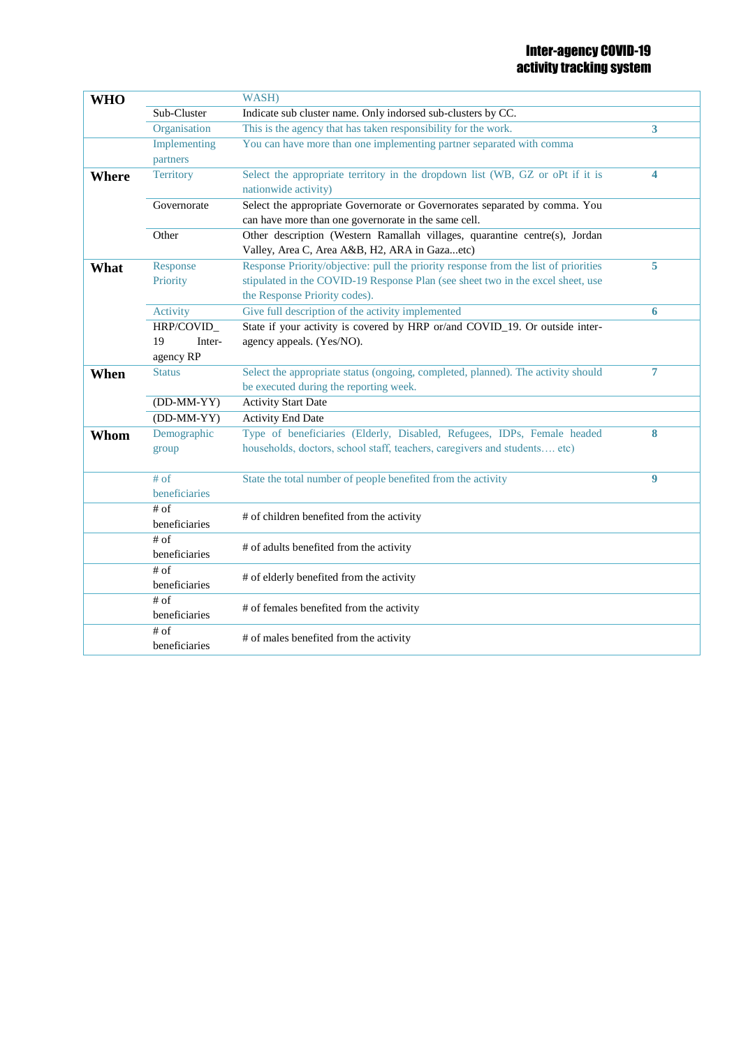| <b>WHO</b> |                          | WASH)                                                                                                                                                                                                   |                |
|------------|--------------------------|---------------------------------------------------------------------------------------------------------------------------------------------------------------------------------------------------------|----------------|
|            | Sub-Cluster              | Indicate sub cluster name. Only indorsed sub-clusters by CC.                                                                                                                                            |                |
|            | Organisation             | This is the agency that has taken responsibility for the work.                                                                                                                                          | 3              |
|            | Implementing<br>partners | You can have more than one implementing partner separated with comma                                                                                                                                    |                |
| Where      | <b>Territory</b>         | Select the appropriate territory in the dropdown list (WB, GZ or oPt if it is<br>nationwide activity)                                                                                                   | 4              |
|            | Governorate              | Select the appropriate Governorate or Governorates separated by comma. You<br>can have more than one governorate in the same cell.                                                                      |                |
|            | Other                    | Other description (Western Ramallah villages, quarantine centre(s), Jordan<br>Valley, Area C, Area A&B, H2, ARA in Gazaetc)                                                                             |                |
| What       | Response<br>Priority     | Response Priority/objective: pull the priority response from the list of priorities<br>stipulated in the COVID-19 Response Plan (see sheet two in the excel sheet, use<br>the Response Priority codes). | 5              |
|            | Activity                 | Give full description of the activity implemented                                                                                                                                                       | 6              |
|            | HRP/COVID_               | State if your activity is covered by HRP or/and COVID_19. Or outside inter-                                                                                                                             |                |
|            | 19<br>Inter-             | agency appeals. (Yes/NO).                                                                                                                                                                               |                |
|            | agency RP                |                                                                                                                                                                                                         |                |
| When       | <b>Status</b>            | Select the appropriate status (ongoing, completed, planned). The activity should<br>be executed during the reporting week.                                                                              | $\overline{7}$ |
|            | $(DD-MM-YY)$             | <b>Activity Start Date</b>                                                                                                                                                                              |                |
|            | $(DD-MM-YY)$             | <b>Activity End Date</b>                                                                                                                                                                                |                |
| Whom       | Demographic<br>group     | Type of beneficiaries (Elderly, Disabled, Refugees, IDPs, Female headed<br>households, doctors, school staff, teachers, caregivers and students etc)                                                    | 8              |
|            | $#$ of<br>beneficiaries  | State the total number of people benefited from the activity                                                                                                                                            | 9              |
|            | $\#$ of<br>beneficiaries | # of children benefited from the activity                                                                                                                                                               |                |
|            | $\#$ of<br>beneficiaries | # of adults benefited from the activity                                                                                                                                                                 |                |
|            | $#$ of<br>beneficiaries  | # of elderly benefited from the activity                                                                                                                                                                |                |
|            | $\#$ of<br>beneficiaries | # of females benefited from the activity                                                                                                                                                                |                |
|            | $#$ of<br>beneficiaries  | # of males benefited from the activity                                                                                                                                                                  |                |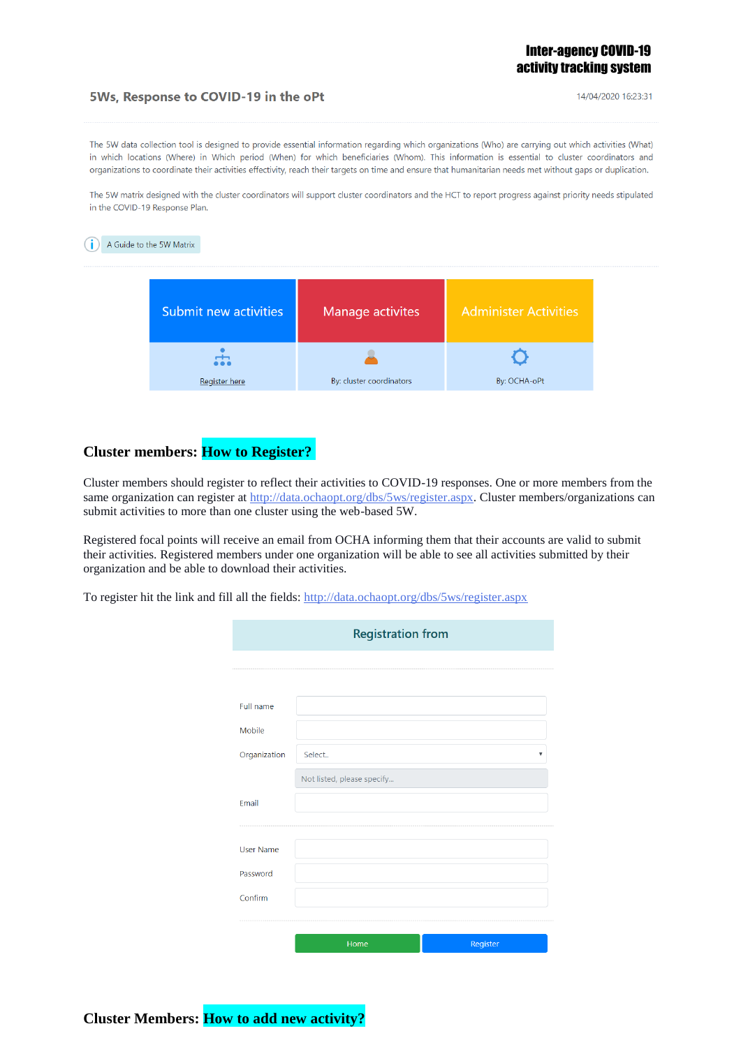### Inter-agency COVID-19 activity tracking system

### 5Ws, Response to COVID-19 in the oPt

14/04/2020 16:23:31

The 5W data collection tool is designed to provide essential information regarding which organizations (Who) are carrying out which activities (What) in which locations (Where) in Which period (When) for which beneficiaries (Whom). This information is essential to cluster coordinators and organizations to coordinate their activities effectivity, reach their targets on time and ensure that humanitarian needs met without gaps or duplication.

The 5W matrix designed with the cluster coordinators will support cluster coordinators and the HCT to report progress against priority needs stipulated in the COVID-19 Response Plan.

# A Guide to the 5W Matrix Submit new activities Manage activites **Administer Activities**



# **Cluster members: How to Register?**

Cluster members should register to reflect their activities to COVID-19 responses. One or more members from the same organization can register at [http://data.ochaopt.org/dbs/5ws/register.aspx.](http://data.ochaopt.org/dbs/5ws/register.aspx) Cluster members/organizations can submit activities to more than one cluster using the web-based 5W.

Registered focal points will receive an email from OCHA informing them that their accounts are valid to submit their activities. Registered members under one organization will be able to see all activities submitted by their organization and be able to download their activities.

To register hit the link and fill all the fields: <http://data.ochaopt.org/dbs/5ws/register.aspx>

|                  | <b>Registration from</b>   |          |
|------------------|----------------------------|----------|
|                  |                            |          |
|                  |                            |          |
| <b>Full name</b> |                            |          |
| Mobile           |                            |          |
| Organization     | Select                     |          |
|                  | Not listed, please specify |          |
| Email            |                            |          |
|                  |                            |          |
| <b>User Name</b> |                            |          |
| Password         |                            |          |
| Confirm          |                            |          |
|                  |                            |          |
|                  | Home                       | Register |

**Cluster Members: How to add new activity?**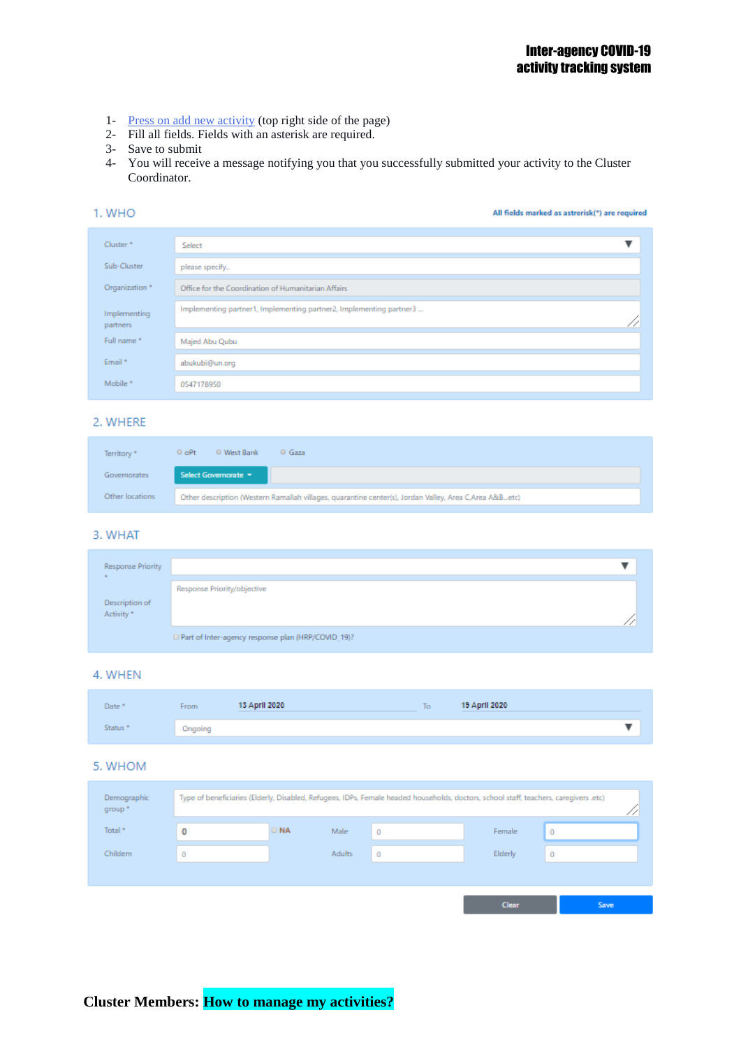- 1- [Press on add new activity](http://data.ochaopt.org/dbs/5ws/myactivities.aspx) (top right side of the page)
- 2- Fill all fields. Fields with an asterisk are required.
- 3- Save to submit
- 4- You will receive a message notifying you that you successfully submitted your activity to the Cluster Coordinator.

### 1. WHO

All fields marked as astrerisk(\*) are required

| Cluster <sup>*</sup>     | Select                                                              |  |
|--------------------------|---------------------------------------------------------------------|--|
| Sub-Cluster              | please specify                                                      |  |
| Organization *           | Office for the Coordination of Humanitarian Affairs                 |  |
| Implementing<br>partners | Implementing partner1, Implementing partner2, Implementing partner3 |  |
| Full name*               | Majed Abu Qubu                                                      |  |
| Email *                  | abukubi@un.org                                                      |  |
| Mobile *                 | 0547178950                                                          |  |

### 2. WHERE

| Territory *     | $Q$ oPt | <sup>O</sup> West Bank                                                                                 | <sup>O</sup> Gaza |  |  |  |  |  |  |  |  |
|-----------------|---------|--------------------------------------------------------------------------------------------------------|-------------------|--|--|--|--|--|--|--|--|
| Governorates    |         | Select Governorate                                                                                     |                   |  |  |  |  |  |  |  |  |
| Other locations |         | Other description (Western Ramallah villages, quarantine center(s), Jordan Valley, Area C,Area A&Betc) |                   |  |  |  |  |  |  |  |  |

#### 3. WHAT

| <b>Response Priority</b>    |                                                      |  |
|-----------------------------|------------------------------------------------------|--|
|                             | Response Priority/objective                          |  |
| Description of<br>Activity* |                                                      |  |
|                             | D Part of Inter-agency response plan (HRP/COVID_19)? |  |

#### 4. WHEN

| Date <sup>+</sup>   | From    | 13 April 2020 | $\overline{\phantom{a}}$<br>ĪФ | 19 April 2020 |  |
|---------------------|---------|---------------|--------------------------------|---------------|--|
| Status <sup>*</sup> | Ongoing |               |                                |               |  |

### 5. WHOM

| Demographic<br>group." |            |               | Type of beneficiaries (Elderly, Disabled, Refugees, IDPs, Female headed households, doctors, school staff, teachers, caregivers .etc) |         |      |
|------------------------|------------|---------------|---------------------------------------------------------------------------------------------------------------------------------------|---------|------|
| Total <sup>*</sup>     | <b>DNA</b> | Male          |                                                                                                                                       | Female  | 0    |
| Childem                |            | <b>Adults</b> | 0                                                                                                                                     | Elderly | 0    |
|                        |            |               |                                                                                                                                       |         |      |
|                        |            |               |                                                                                                                                       | Clear   | Save |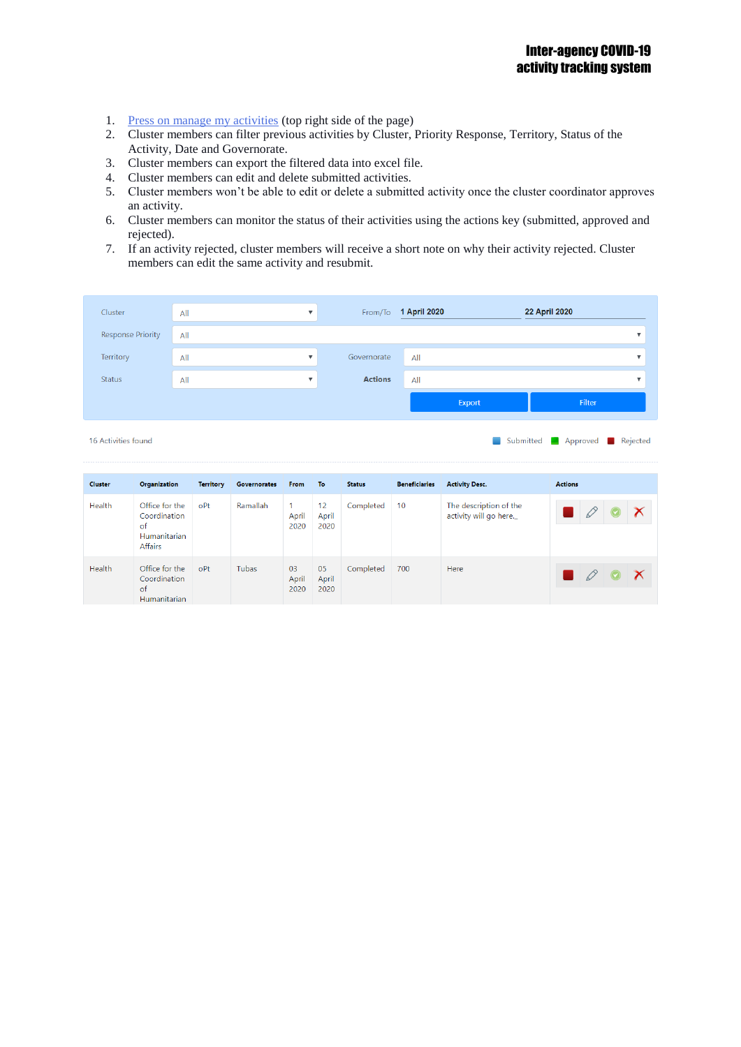- 1. [Press on manage my activities](http://data.ochaopt.org/dbs/5ws/myactivities.aspx) (top right side of the page)
- 2. Cluster members can filter previous activities by Cluster, Priority Response, Territory, Status of the Activity, Date and Governorate.
- 3. Cluster members can export the filtered data into excel file.
- 4. Cluster members can edit and delete submitted activities.
- 5. Cluster members won't be able to edit or delete a submitted activity once the cluster coordinator approves an activity.
- 6. Cluster members can monitor the status of their activities using the actions key (submitted, approved and rejected).
- 7. If an activity rejected, cluster members will receive a short note on why their activity rejected. Cluster members can edit the same activity and resubmit.

| Cluster                  | All | ٠              |                | From/To 1 April 2020 |        | 22 April 2020 |  |
|--------------------------|-----|----------------|----------------|----------------------|--------|---------------|--|
| <b>Response Priority</b> | All |                |                |                      |        |               |  |
| Territory                | All | $\blacksquare$ | Governorate    | All                  |        |               |  |
| <b>Status</b>            | All | $\blacksquare$ | <b>Actions</b> | All                  |        |               |  |
|                          |     |                |                |                      | Export | Filter        |  |
|                          |     |                |                |                      |        |               |  |

16 Activities found

Submitted **Approved** Rejected

| <b>Cluster</b> | Organization                                                           | <b>Territory</b> | <b>Governorates</b> | <b>From</b>         | To                  | <b>Status</b> | <b>Beneficiaries</b> | <b>Activity Desc.</b>                            | <b>Actions</b>                  |
|----------------|------------------------------------------------------------------------|------------------|---------------------|---------------------|---------------------|---------------|----------------------|--------------------------------------------------|---------------------------------|
| Health         | Office for the<br>Coordination<br>of<br>Humanitarian<br><b>Affairs</b> | oPt              | Ramallah            | April<br>2020       | 12<br>April<br>2020 | Completed     | 10                   | The description of the<br>activity will go here. |                                 |
| Health         | Office for the<br>Coordination<br>of<br>Humanitarian                   | oPt              | Tubas               | 03<br>April<br>2020 | 05<br>April<br>2020 | Completed     | 700                  | Here                                             | $\left(\bigtriangledown\right)$ |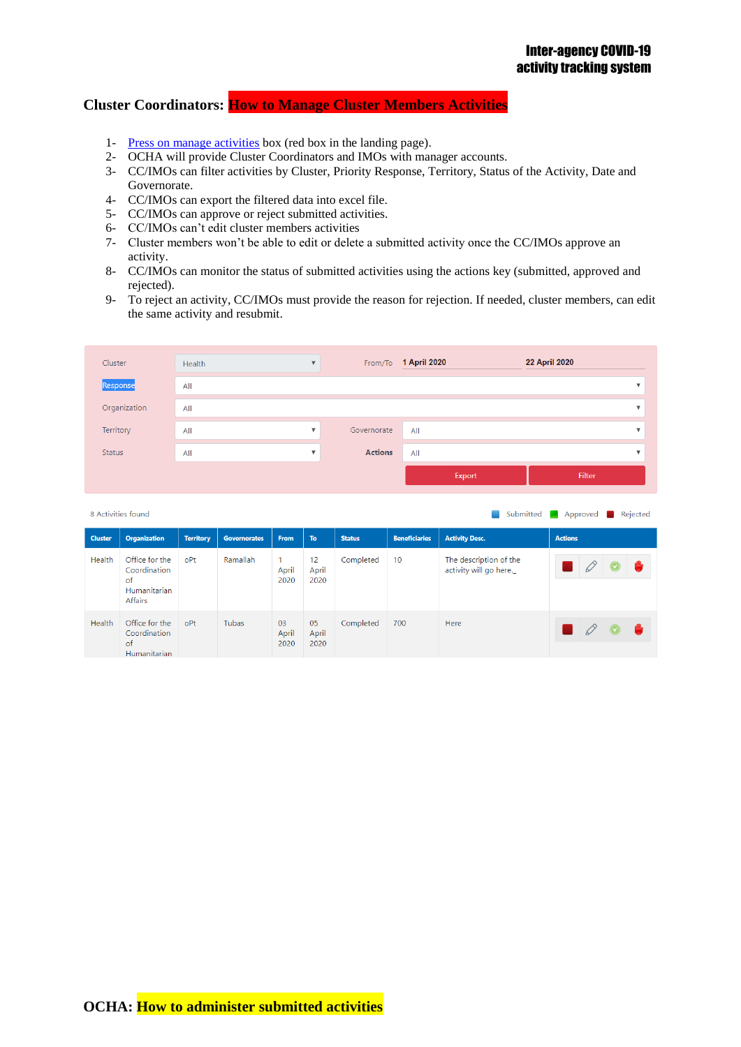# **Cluster Coordinators: How to Manage Cluster Members Activities**

- 1- [Press on manage activities](http://data.ochaopt.org/dbs/5ws/cclogin.aspx) box (red box in the landing page).
- 2- OCHA will provide Cluster Coordinators and IMOs with manager accounts.
- 3- CC/IMOs can filter activities by Cluster, Priority Response, Territory, Status of the Activity, Date and Governorate.
- 4- CC/IMOs can export the filtered data into excel file.
- 5- CC/IMOs can approve or reject submitted activities.
- 6- CC/IMOs can't edit cluster members activities
- 7- Cluster members won't be able to edit or delete a submitted activity once the CC/IMOs approve an activity.
- 8- CC/IMOs can monitor the status of submitted activities using the actions key (submitted, approved and rejected).
- 9- To reject an activity, CC/IMOs must provide the reason for rejection. If needed, cluster members, can edit the same activity and resubmit.

| Cluster       | Health | ٠                       |                | From/To 1 April 2020 | <b>22 April 2020</b> |  |
|---------------|--------|-------------------------|----------------|----------------------|----------------------|--|
| Response      | All    |                         |                |                      |                      |  |
| Organization  | All    |                         |                |                      |                      |  |
| Territory     | All    | $\overline{\mathbf{v}}$ | Governorate    | All                  |                      |  |
| <b>Status</b> | All    | v                       | <b>Actions</b> | All                  |                      |  |
|               |        |                         |                | Export               | <b>Filter</b>        |  |

|                | 8 Activities found<br>Submitted <b>I</b>                               |                  |                     |                     |                     |               |                      |                                                  |                |  |  |
|----------------|------------------------------------------------------------------------|------------------|---------------------|---------------------|---------------------|---------------|----------------------|--------------------------------------------------|----------------|--|--|
| <b>Cluster</b> | <b>Organization</b>                                                    | <b>Territory</b> | <b>Governorates</b> | <b>From</b>         | To:                 | <b>Status</b> | <b>Beneficiaries</b> | <b>Activity Desc.</b>                            | <b>Actions</b> |  |  |
| Health         | Office for the<br>Coordination<br>of<br>Humanitarian<br><b>Affairs</b> | oPt              | Ramallah            | 1<br>April<br>2020  | 12<br>April<br>2020 | Completed     | 10 <sup>°</sup>      | The description of the<br>activity will go here. |                |  |  |
| Health         | Office for the<br>Coordination<br>of<br>Humanitarian                   | oPt              | Tubas               | 03<br>April<br>2020 | 05<br>April<br>2020 | Completed     | 700                  | Here                                             |                |  |  |